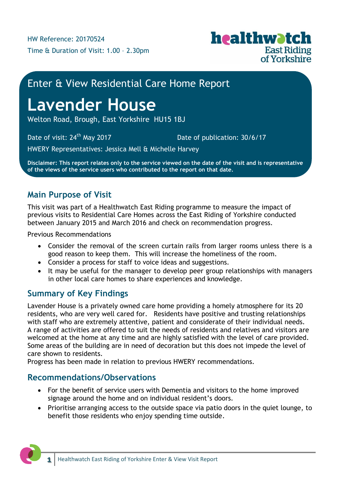

# Enter & View Residential Care Home Report

# **Lavender House**

Welton Road, Brough, East Yorkshire HU15 1BJ

Date of visit:  $24<sup>th</sup>$  May 2017 Date of publication: 30/6/17

HWERY Representatives: Jessica Mell & Michelle Harvey

**Disclaimer: This report relates only to the service viewed on the date of the visit and is representative of the views of the service users who contributed to the report on that date.**

# **Main Purpose of Visit**

This visit was part of a Healthwatch East Riding programme to measure the impact of previous visits to Residential Care Homes across the East Riding of Yorkshire conducted between January 2015 and March 2016 and check on recommendation progress.

Previous Recommendations

- Consider the removal of the screen curtain rails from larger rooms unless there is a good reason to keep them. This will increase the homeliness of the room.
- Consider a process for staff to voice ideas and suggestions.
- It may be useful for the manager to develop peer group relationships with managers in other local care homes to share experiences and knowledge.

# **Summary of Key Findings**

Lavender House is a privately owned care home providing a homely atmosphere for its 20 residents, who are very well cared for. Residents have positive and trusting relationships with staff who are extremely attentive, patient and considerate of their individual needs. A range of activities are offered to suit the needs of residents and relatives and visitors are welcomed at the home at any time and are highly satisfied with the level of care provided. Some areas of the building are in need of decoration but this does not impede the level of care shown to residents.

Progress has been made in relation to previous HWERY recommendations.

# **Recommendations/Observations**

- For the benefit of service users with Dementia and visitors to the home improved signage around the home and on individual resident's doors.
- Prioritise arranging access to the outside space via patio doors in the quiet lounge, to benefit those residents who enjoy spending time outside.

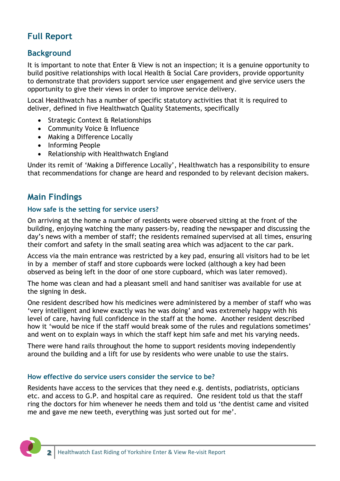# **Full Report**

# **Background**

It is important to note that Enter & View is not an inspection; it is a genuine opportunity to build positive relationships with local Health & Social Care providers, provide opportunity to demonstrate that providers support service user engagement and give service users the opportunity to give their views in order to improve service delivery.

Local Healthwatch has a number of specific statutory activities that it is required to deliver, defined in five Healthwatch Quality Statements, specifically

- Strategic Context & Relationships
- Community Voice & Influence
- Making a Difference Locally
- Informing People
- Relationship with Healthwatch England

Under its remit of 'Making a Difference Locally', Healthwatch has a responsibility to ensure that recommendations for change are heard and responded to by relevant decision makers.

# **Main Findings**

#### **How safe is the setting for service users?**

On arriving at the home a number of residents were observed sitting at the front of the building, enjoying watching the many passers-by, reading the newspaper and discussing the day's news with a member of staff; the residents remained supervised at all times, ensuring their comfort and safety in the small seating area which was adjacent to the car park.

Access via the main entrance was restricted by a key pad, ensuring all visitors had to be let in by a member of staff and store cupboards were locked (although a key had been observed as being left in the door of one store cupboard, which was later removed).

The home was clean and had a pleasant smell and hand sanitiser was available for use at the signing in desk.

One resident described how his medicines were administered by a member of staff who was 'very intelligent and knew exactly was he was doing' and was extremely happy with his level of care, having full confidence in the staff at the home. Another resident described how it 'would be nice if the staff would break some of the rules and regulations sometimes' and went on to explain ways in which the staff kept him safe and met his varying needs.

There were hand rails throughout the home to support residents moving independently around the building and a lift for use by residents who were unable to use the stairs.

#### **How effective do service users consider the service to be?**

Residents have access to the services that they need e.g. dentists, podiatrists, opticians etc. and access to G.P. and hospital care as required. One resident told us that the staff ring the doctors for him whenever he needs them and told us 'the dentist came and visited me and gave me new teeth, everything was just sorted out for me'.

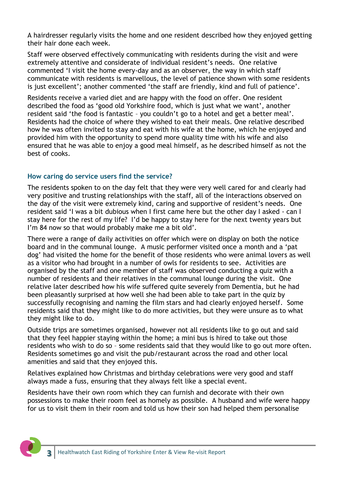A hairdresser regularly visits the home and one resident described how they enjoyed getting their hair done each week.

Staff were observed effectively communicating with residents during the visit and were extremely attentive and considerate of individual resident's needs. One relative commented 'I visit the home every-day and as an observer, the way in which staff communicate with residents is marvellous, the level of patience shown with some residents is just excellent'; another commented 'the staff are friendly, kind and full of patience'.

Residents receive a varied diet and are happy with the food on offer. One resident described the food as 'good old Yorkshire food, which is just what we want', another resident said 'the food is fantastic – you couldn't go to a hotel and get a better meal'. Residents had the choice of where they wished to eat their meals. One relative described how he was often invited to stay and eat with his wife at the home, which he enjoyed and provided him with the opportunity to spend more quality time with his wife and also ensured that he was able to enjoy a good meal himself, as he described himself as not the best of cooks.

#### **How caring do service users find the service?**

The residents spoken to on the day felt that they were very well cared for and clearly had very positive and trusting relationships with the staff, all of the interactions observed on the day of the visit were extremely kind, caring and supportive of resident's needs. One resident said 'I was a bit dubious when I first came here but the other day I asked - can I stay here for the rest of my life? I'd be happy to stay here for the next twenty years but I'm 84 now so that would probably make me a bit old'.

There were a range of daily activities on offer which were on display on both the notice board and in the communal lounge. A music performer visited once a month and a 'pat dog' had visited the home for the benefit of those residents who were animal lovers as well as a visitor who had brought in a number of owls for residents to see. Activities are organised by the staff and one member of staff was observed conducting a quiz with a number of residents and their relatives in the communal lounge during the visit. One relative later described how his wife suffered quite severely from Dementia, but he had been pleasantly surprised at how well she had been able to take part in the quiz by successfully recognising and naming the film stars and had clearly enjoyed herself. Some residents said that they might like to do more activities, but they were unsure as to what they might like to do.

Outside trips are sometimes organised, however not all residents like to go out and said that they feel happier staying within the home; a mini bus is hired to take out those residents who wish to do so – some residents said that they would like to go out more often. Residents sometimes go and visit the pub/restaurant across the road and other local amenities and said that they enjoyed this.

Relatives explained how Christmas and birthday celebrations were very good and staff always made a fuss, ensuring that they always felt like a special event.

Residents have their own room which they can furnish and decorate with their own possessions to make their room feel as homely as possible. A husband and wife were happy for us to visit them in their room and told us how their son had helped them personalise

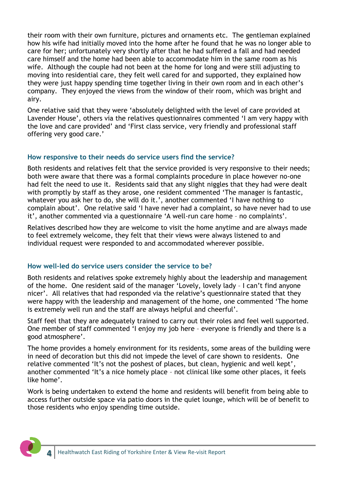their room with their own furniture, pictures and ornaments etc. The gentleman explained how his wife had initially moved into the home after he found that he was no longer able to care for her; unfortunately very shortly after that he had suffered a fall and had needed care himself and the home had been able to accommodate him in the same room as his wife. Although the couple had not been at the home for long and were still adjusting to moving into residential care, they felt well cared for and supported, they explained how they were just happy spending time together living in their own room and in each other's company. They enjoyed the views from the window of their room, which was bright and airy.

One relative said that they were 'absolutely delighted with the level of care provided at Lavender House', others via the relatives questionnaires commented 'I am very happy with the love and care provided' and 'First class service, very friendly and professional staff offering very good care.'

#### **How responsive to their needs do service users find the service?**

Both residents and relatives felt that the service provided is very responsive to their needs; both were aware that there was a formal complaints procedure in place however no-one had felt the need to use it. Residents said that any slight niggles that they had were dealt with promptly by staff as they arose, one resident commented 'The manager is fantastic, whatever you ask her to do, she will do it.', another commented 'I have nothing to complain about'. One relative said 'I have never had a complaint, so have never had to use it', another commented via a questionnaire 'A well-run care home – no complaints'.

Relatives described how they are welcome to visit the home anytime and are always made to feel extremely welcome, they felt that their views were always listened to and individual request were responded to and accommodated wherever possible.

#### **How well-led do service users consider the service to be?**

Both residents and relatives spoke extremely highly about the leadership and management of the home. One resident said of the manager 'Lovely, lovely lady – I can't find anyone nicer'. All relatives that had responded via the relative's questionnaire stated that they were happy with the leadership and management of the home, one commented 'The home is extremely well run and the staff are always helpful and cheerful'.

Staff feel that they are adequately trained to carry out their roles and feel well supported. One member of staff commented 'I enjoy my job here – everyone is friendly and there is a good atmosphere'.

The home provides a homely environment for its residents, some areas of the building were in need of decoration but this did not impede the level of care shown to residents. One relative commented 'It's not the poshest of places, but clean, hygienic and well kept', another commented 'It's a nice homely place – not clinical like some other places, it feels like home'.

Work is being undertaken to extend the home and residents will benefit from being able to access further outside space via patio doors in the quiet lounge, which will be of benefit to those residents who enjoy spending time outside.

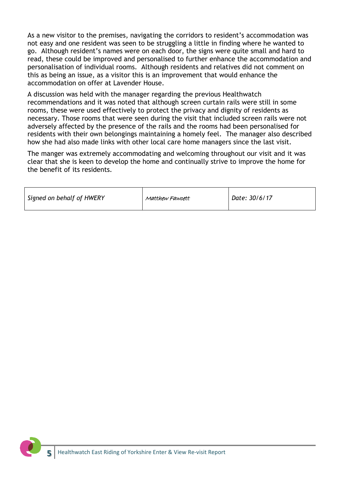As a new visitor to the premises, navigating the corridors to resident's accommodation was not easy and one resident was seen to be struggling a little in finding where he wanted to go. Although resident's names were on each door, the signs were quite small and hard to read, these could be improved and personalised to further enhance the accommodation and personalisation of individual rooms. Although residents and relatives did not comment on this as being an issue, as a visitor this is an improvement that would enhance the accommodation on offer at Lavender House.

A discussion was held with the manager regarding the previous Healthwatch recommendations and it was noted that although screen curtain rails were still in some rooms, these were used effectively to protect the privacy and dignity of residents as necessary. Those rooms that were seen during the visit that included screen rails were not adversely affected by the presence of the rails and the rooms had been personalised for residents with their own belongings maintaining a homely feel. The manager also described how she had also made links with other local care home managers since the last visit.

The manger was extremely accommodating and welcoming throughout our visit and it was clear that she is keen to develop the home and continually strive to improve the home for the benefit of its residents.

| Signed on behalf of HWERY | Matthew Fawcett | Date: 30/6/17 |
|---------------------------|-----------------|---------------|
|                           |                 |               |